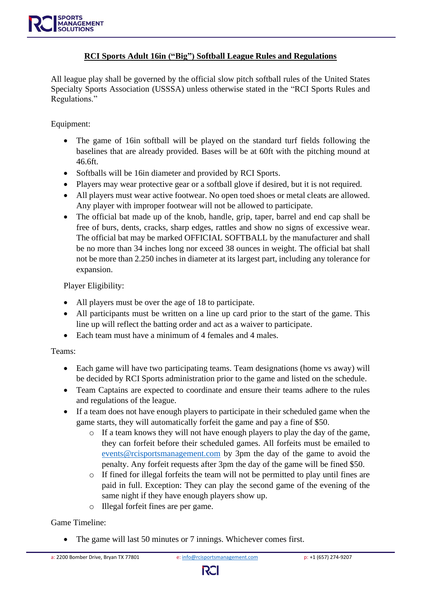#### **RCI Sports Adult 16in ("Big") Softball League Rules and Regulations**

All league play shall be governed by the official slow pitch softball rules of the United States Specialty Sports Association (USSSA) unless otherwise stated in the "RCI Sports Rules and Regulations."

#### Equipment:

- The game of 16in softball will be played on the standard turf fields following the baselines that are already provided. Bases will be at 60ft with the pitching mound at 46.6ft.
- Softballs will be 16in diameter and provided by RCI Sports.
- Players may wear protective gear or a softball glove if desired, but it is not required.
- All players must wear active footwear. No open toed shoes or metal cleats are allowed. Any player with improper footwear will not be allowed to participate.
- The official bat made up of the knob, handle, grip, taper, barrel and end cap shall be free of burs, dents, cracks, sharp edges, rattles and show no signs of excessive wear. The official bat may be marked OFFICIAL SOFTBALL by the manufacturer and shall be no more than 34 inches long nor exceed 38 ounces in weight. The official bat shall not be more than 2.250 inches in diameter at its largest part, including any tolerance for expansion.

Player Eligibility:

- All players must be over the age of 18 to participate.
- All participants must be written on a line up card prior to the start of the game. This line up will reflect the batting order and act as a waiver to participate.
- Each team must have a minimum of 4 females and 4 males.

Teams:

- Each game will have two participating teams. Team designations (home vs away) will be decided by RCI Sports administration prior to the game and listed on the schedule.
- Team Captains are expected to coordinate and ensure their teams adhere to the rules and regulations of the league.
- If a team does not have enough players to participate in their scheduled game when the game starts, they will automatically forfeit the game and pay a fine of \$50.
	- o If a team knows they will not have enough players to play the day of the game, they can forfeit before their scheduled games. All forfeits must be emailed to [events@rcisportsmanagement.com](mailto:events@rcisportsmanagement.com) by 3pm the day of the game to avoid the penalty. Any forfeit requests after 3pm the day of the game will be fined \$50.
	- o If fined for illegal forfeits the team will not be permitted to play until fines are paid in full. Exception: They can play the second game of the evening of the same night if they have enough players show up.
	- o Illegal forfeit fines are per game.

#### Game Timeline:

The game will last 50 minutes or 7 innings. Whichever comes first.

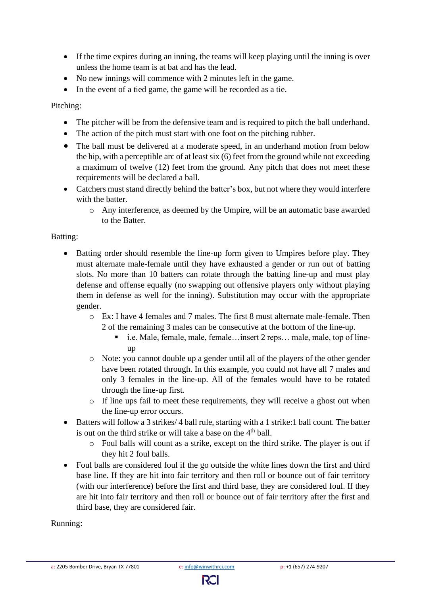- If the time expires during an inning, the teams will keep playing until the inning is over unless the home team is at bat and has the lead.
- No new innings will commence with 2 minutes left in the game.
- In the event of a tied game, the game will be recorded as a tie.

Pitching:

- The pitcher will be from the defensive team and is required to pitch the ball underhand.
- The action of the pitch must start with one foot on the pitching rubber.
- The ball must be delivered at a moderate speed, in an underhand motion from below the hip, with a perceptible arc of at least six (6) feet from the ground while not exceeding a maximum of twelve (12) feet from the ground. Any pitch that does not meet these requirements will be declared a ball.
- Catchers must stand directly behind the batter's box, but not where they would interfere with the batter.
	- o Any interference, as deemed by the Umpire, will be an automatic base awarded to the Batter.

# Batting:

- Batting order should resemble the line-up form given to Umpires before play. They must alternate male-female until they have exhausted a gender or run out of batting slots. No more than 10 batters can rotate through the batting line-up and must play defense and offense equally (no swapping out offensive players only without playing them in defense as well for the inning). Substitution may occur with the appropriate gender.
	- o Ex: I have 4 females and 7 males. The first 8 must alternate male-female. Then 2 of the remaining 3 males can be consecutive at the bottom of the line-up.
		- i.e. Male, female, male, female... insert 2 reps... male, male, top of lineup
	- o Note: you cannot double up a gender until all of the players of the other gender have been rotated through. In this example, you could not have all 7 males and only 3 females in the line-up. All of the females would have to be rotated through the line-up first.
	- o If line ups fail to meet these requirements, they will receive a ghost out when the line-up error occurs.
- Batters will follow a 3 strikes/4 ball rule, starting with a 1 strike:1 ball count. The batter is out on the third strike or will take a base on the  $4<sup>th</sup>$  ball.
	- o Foul balls will count as a strike, except on the third strike. The player is out if they hit 2 foul balls.
- Foul balls are considered foul if the go outside the white lines down the first and third base line. If they are hit into fair territory and then roll or bounce out of fair territory (with our interference) before the first and third base, they are considered foul. If they are hit into fair territory and then roll or bounce out of fair territory after the first and third base, they are considered fair.

### Running: